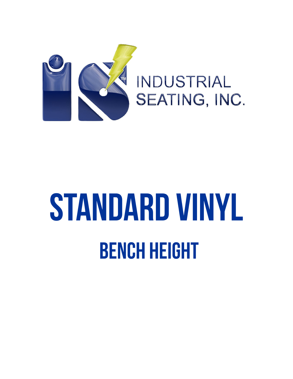

**INDUSTRIAL** SEATING, INC.

## STANDARD VINYL **BENCH HEIGHT**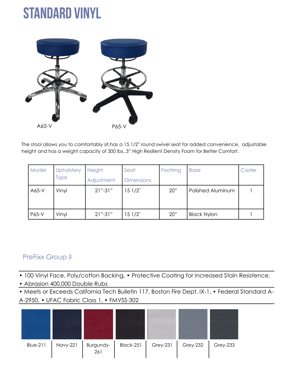## **STANDARD VINYL**



The stool allows you to comfortably sit,has a 15 1/2'' round swivel seat for added convenience, adjustable height and has a weight capacity of 300 lbs.,3" High Resilient Density Foam for Better Comfort.

| Model | <b>Upholstery</b> | <b>Height</b> | Seat              | Footring | <b>Base</b>        | Caster |
|-------|-------------------|---------------|-------------------|----------|--------------------|--------|
|       | Type              | Adjustment    | <b>Dimensions</b> |          |                    |        |
| A65-V | Vinyl             | $21" - 31"$   | 151/2             | 20"      | Polished Aluminum  |        |
|       |                   |               |                   |          |                    |        |
| P65-V | Vinyl             | $21" - 31"$   | 151/2             | 20"      | <b>Black Nylon</b> |        |

## PreFixx Group II

• 100 Vinyl Face, Poly/cotton Backing, • Protective Coating for Increased Stain Resistence,

• Abrasion 400,000 Double Rubs

• Meets or Exceeds California Tech Bulletin 117, Boston Fire Dept. IX-1, • Federal Standard A-A-2950, • UFAC Fabric Class 1, • FMVSS-302

![](_page_1_Figure_8.jpeg)